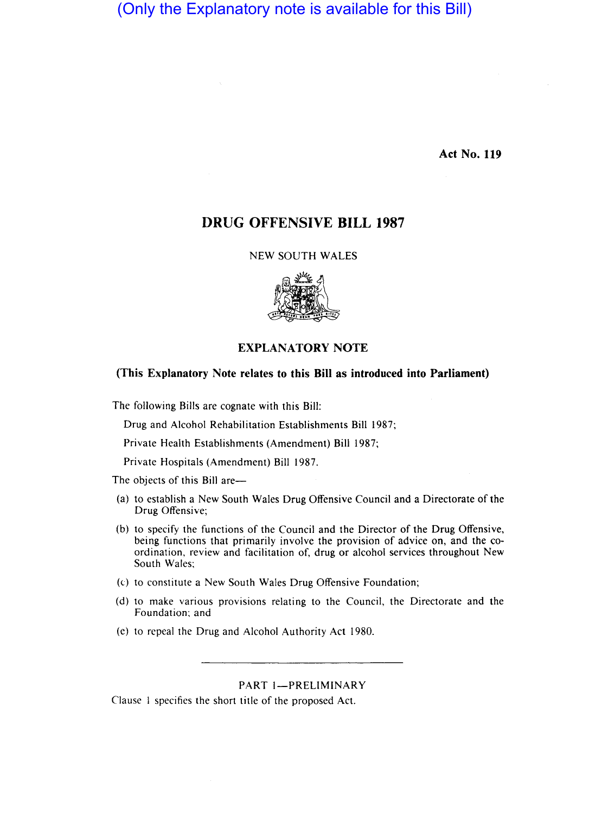(Only the Explanatory note is available for this Bill)

**Act No. 119** 

# **DRUG OFFENSIVE BILL 1987**

# NEW SOUTH WALES



# **(This Explanatory Note relates to this Bill as introduced into Parliament)**

The following Bills are cognate with this Bill:

Drug and Alcohol Rehabilitation Establishments Bill 1987;

Private Health Establishments (Amendment) Bill 1987;

Private Hospitals (Amendment) Bill 1987.

The objects of this Bill are-

- (a) to establish a New South Wales Drug Offensive Council and a Directorate of the Drug Offensive;
- (b) to specify the functions of the Council and the Director of the Drug Offensive, being functions that primarily involve the provision of advice on, and the coordination, review and facilitation of, drug or alcohol services throughout New South Wales;
- (c) to constitute a New South Wales Drug Offensive Foundation;
- (d) to make various provisions relating to the Council, the Directorate and the Foundation; and
- (e) to repeal the Drug and Alcohol Authority Act 1980.

# PART 1-PRELIMINARY

Clause I specifies the short title of the proposed Act.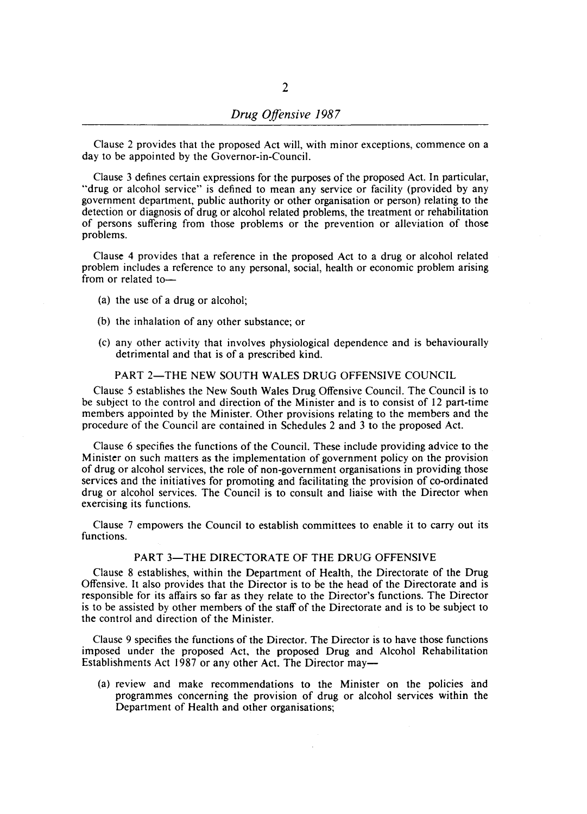Clause 2 provides that the proposed Act will, with minor exceptions, commence on a day to be appointed by the Governor-in-Council.

Clause 3 defines certain expressions for the purposes of the proposed Act. In particular, "drug or alcohol service" is defined to mean any service or facility (provided by any government department, public authority or other organisation or person) relating to the detection or diagnosis of drug or alcohol related problems, the treatment or rehabilitation of persons suffering from those problems or the prevention or alleviation of those problems.

Clause 4 provides that a reference in the proposed Act to a drug or alcohol related problem includes a reference to any personal, social, health or economic problem arising from or related to-

- (a) the use of a drug or alcohol;
- (b) the inhalation of any other substance; or
- (c) any other activity that involves physiological dependence and is behaviourally detrimental and that is of a prescribed kind.

### PART 2-THE NEW SOUTH WALES DRUG OFFENSIVE COUNCIL

Clause 5 establishes the New South Wales Drug Offensive Council. The Council is to be subject to the control and direction of the Minister and is to consist of 12 part-time members appointed by the Minister. Other provisions relating to the members and the procedure of the Council are contained in Schedules 2 and 3 to the proposed Act.

Clause 6 specifies the functions of the Council. These include providing advice to the Minister on such matters as the implementation of government policy on the provision of drug or alcohol services, the role of non-government organisations in providing those services and the initiatives for promoting and facilitating the provision of co-ordinated drug or alcohol services. The Council is to consult and liaise with the Director when exercising its functions.

Clause 7 empowers the Council to establish committees to enable it to carry out its functions.

# PART 3-THE DIRECTORATE OF THE DRUG OFFENSIVE

Clause 8 establishes, within the Department of Health, the Directorate of the Drug Offensive. It also provides that the Director is to be the head of the Directorate and is responsible for its affairs so far as they relate to the Director's functions. The Director is to be assisted by other members of the staff of the Directorate and is to be subject to the control and direction of the Minister.

Clause 9 specifies the functions of the Director. The Director is to have those functions imposed under the proposed Act, the proposed Drug and Alcohol Rehabilitation Establishments Act 1987 or any other Act. The Director may—

(a) review and make recommendations to the Minister on the policies and programmes concerning the provision of drug or alcohol services within the Department of Health and other organisations;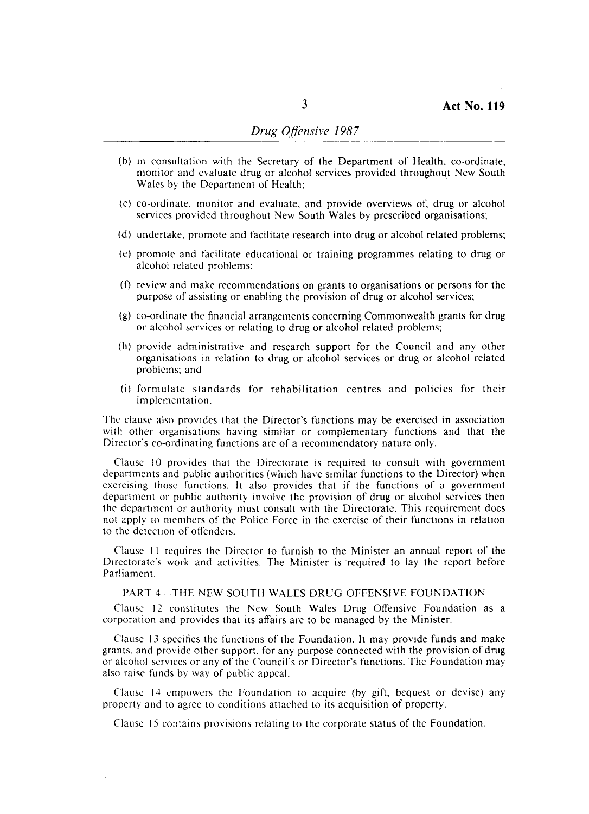- (b) in consultation with the Secretary of the Department of Health, co-ordinate, monitor and evaluate drug or alcohol services provided throughout New South Wales by the Department of Health;
- (c) co-ordinate, monitor and evaluate, and provide overviews of, drug or alcohol services provided throughout New South Wales by prescribed organisations;
- (d) undertake, promote and facilitate research into drug or alcohol related problems;
- (e) promote and facilitate educational or training programmes relating to drug or alcohol related problems;
- (f) review and make recommendations on grants to organisations or persons for the purpose of assisting or enabling the provision of drug or alcohol services;
- (g) co-ordinate the financial arrangements concerning Commonwealth grants for drug or alcohol services or relating to drug or alcohol related problems;
- (h) provide administrative and research support for the Council and any other organisations in relation to drug or alcohol services or drug or alcohol related problems; and
- (i) formulate standards for rehabilitation centres and policies for their implementation.

The clause also provides that the Director's functions may be exercised in association with other organisations having similar or complementary functions and that the Director's co-ordinating functions arc of a recommendatory nature only.

Clause 10 provides that the Directorate is required to consult with government departments and public authorities (which have similar functions to the Director) when exercising those functions. It also provides that if the functions of a government department or public authority involve the provision of drug or alcohol services then the department or authority must consult with the Directorate. This requirement does not apply to members of the Police Force in the exercise of their functions in relation to the detection of offenders.

Clause 11 requires the Director to furnish to the Minister an annual report of the Directorate's work and activities. The Minister is required to lay the report before Parliament.

# PART 4-THE NEW SOUTH WALES DRUG OFFENSIVE FOUNDATION

Clause 12 constitutes the New South Wales Drug Offensive Foundation as a corporation and provides that its affairs are to be managed by the Minister.

Clause 13 specifics the functions of the Foundation. It may provide funds and make grants, and provide other support, for any purpose connected with the provision of drug or alcohol services or any of the Council's or Director's functions. The Foundation may also raise funds by way of public appeal.

Clause 14 empowers the Foundation to acquire (by gift, bequest or devise) any property and to agree to conditions attached to its acquisition of property.

Clause 15 contains provisions relating to the corporate status of the Foundation.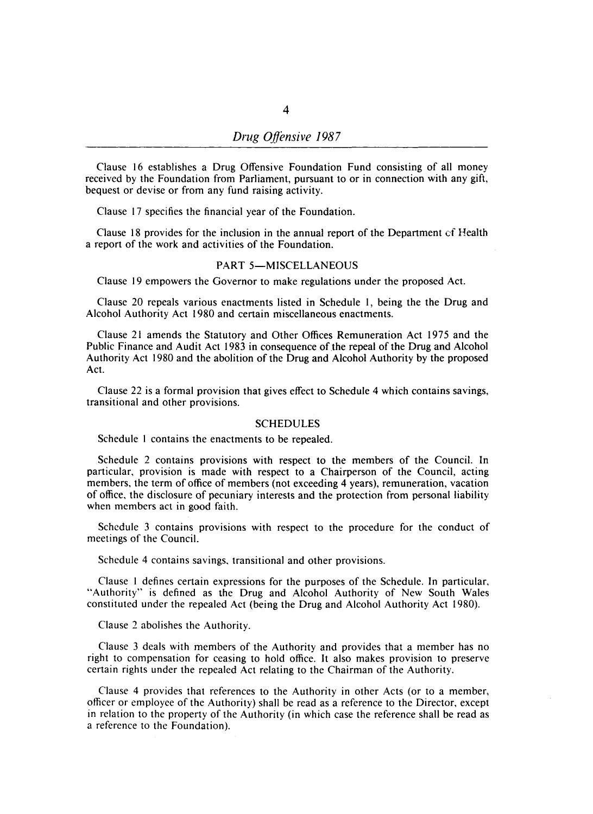Clause 16 establishes a Drug Offensive Foundation Fund consisting of all money received by the Foundation from Parliament, pursuant to or in connection with any gift, bequest or devise or from any fund raising activity.

Clause 17 specifies the financial year of the Foundation.

Clause 18 provides for the inclusion in the annual report of the Department er Health a report of the work and activities of the Foundation.

# PART 5-MISCELLANEOUS

Clause 19 empowers the Governor to make regulations under the proposed Act.

Clause 20 repeals various enactments listed in Schedule I, being the the Drug and Alcohol Authority Act 1980 and certain miscellaneous enactments.

Clause 21 amends the Statutory and Other Offices Remuneration Act 1975 and the Public Finance and Audit Act 1983 in consequence of the repeal of the Drug and Alcohol Authority Act 1980 and the abolition of the Drug and Alcohol Authority by the proposed Act.

Clause 22 is a formal provision that gives effect to Schedule 4 which contains savings, transitional and other provisions.

#### SCHEDULES

Schedule 1 contains the enactments to be repealed.

Schedule 2 contains provisions with respect to the members of the Council. In particular, provision is made with respect to a Chairperson of the Council, acting members, the term of office of members (not exceeding 4 years), remuneration, vacation of office, the disclosure of pecuniary interests and the protection from personal liability when members act in good faith.

Schedule 3 contains provisions with respect to the procedure for the conduct of meetings of the Council.

Schedule 4 contains savings, transitional and other provisions.

Clause I defines certain expressions for the purposes of the Schedule. In particular, "Authority" is defined as the Drug and Alcohol Authority of New South Wales constituted under the repealed Act (being the Drug and Alcohol Authority Act 1980).

Clause 2 abolishes the Authority.

Clause 3 deals with members of the Authority and provides that a member has no right to compensation for ceasing to hold office. It also makes provision to preserve certain rights under the repealed Act relating to the Chairman of the Authority.

Clause 4 provides that references to the Authority in other Acts (or to a member; officer or employee of the Authority) shall be read as a reference to the Director, except in relation to the property of the Authority (in which case the reference shall be read as a reference to the Foundation).